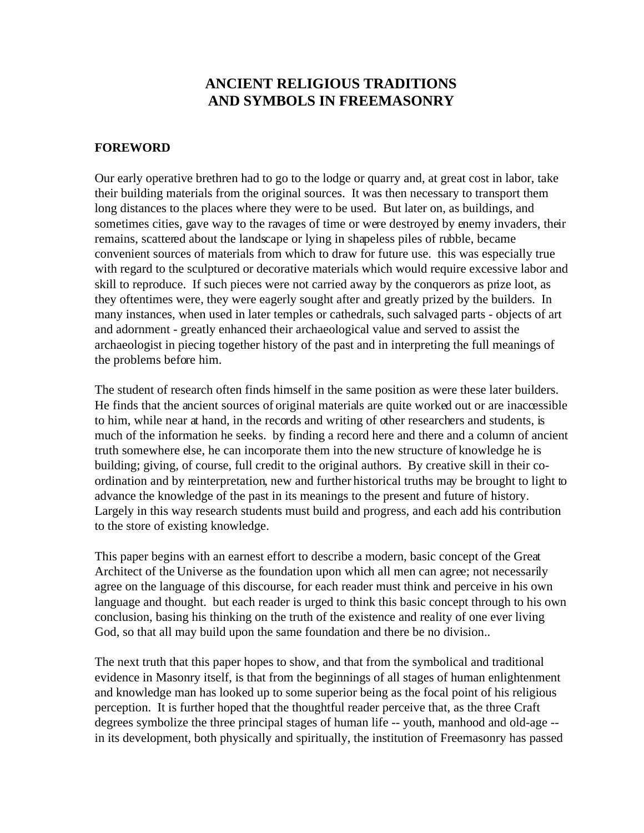# **ANCIENT RELIGIOUS TRADITIONS AND SYMBOLS IN FREEMASONRY**

### **FOREWORD**

Our early operative brethren had to go to the lodge or quarry and, at great cost in labor, take their building materials from the original sources. It was then necessary to transport them long distances to the places where they were to be used. But later on, as buildings, and sometimes cities, gave way to the ravages of time or were destroyed by enemy invaders, their remains, scattered about the landscape or lying in shapeless piles of rubble, became convenient sources of materials from which to draw for future use. this was especially true with regard to the sculptured or decorative materials which would require excessive labor and skill to reproduce. If such pieces were not carried away by the conquerors as prize loot, as they oftentimes were, they were eagerly sought after and greatly prized by the builders. In many instances, when used in later temples or cathedrals, such salvaged parts - objects of art and adornment - greatly enhanced their archaeological value and served to assist the archaeologist in piecing together history of the past and in interpreting the full meanings of the problems before him.

The student of research often finds himself in the same position as were these later builders. He finds that the ancient sources of original materials are quite worked out or are inaccessible to him, while near at hand, in the records and writing of other researchers and students, is much of the information he seeks. by finding a record here and there and a column of ancient truth somewhere else, he can incorporate them into the new structure of knowledge he is building; giving, of course, full credit to the original authors. By creative skill in their coordination and by reinterpretation, new and further historical truths may be brought to light to advance the knowledge of the past in its meanings to the present and future of history. Largely in this way research students must build and progress, and each add his contribution to the store of existing knowledge.

This paper begins with an earnest effort to describe a modern, basic concept of the Great Architect of the Universe as the foundation upon which all men can agree; not necessarily agree on the language of this discourse, for each reader must think and perceive in his own language and thought. but each reader is urged to think this basic concept through to his own conclusion, basing his thinking on the truth of the existence and reality of one ever living God, so that all may build upon the same foundation and there be no division..

The next truth that this paper hopes to show, and that from the symbolical and traditional evidence in Masonry itself, is that from the beginnings of all stages of human enlightenment and knowledge man has looked up to some superior being as the focal point of his religious perception. It is further hoped that the thoughtful reader perceive that, as the three Craft degrees symbolize the three principal stages of human life -- youth, manhood and old-age - in its development, both physically and spiritually, the institution of Freemasonry has passed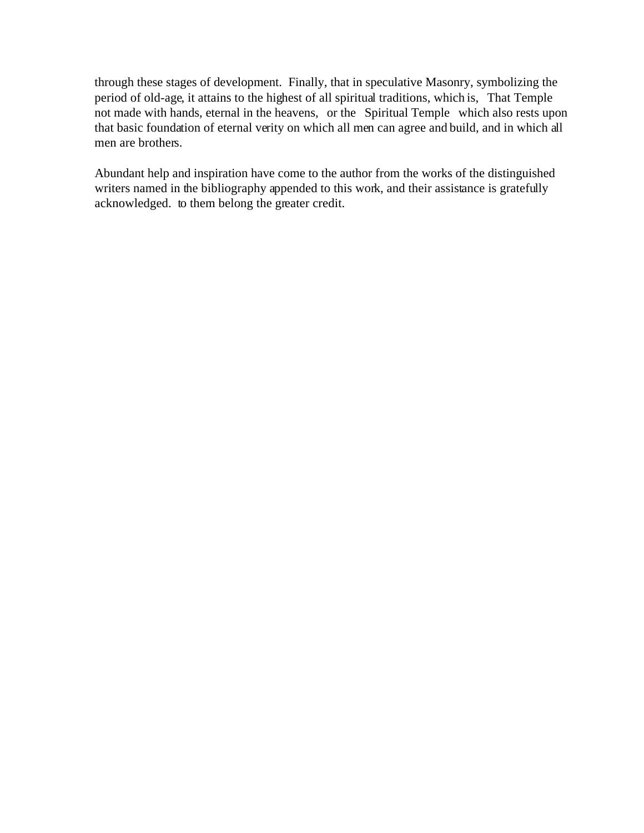through these stages of development. Finally, that in speculative Masonry, symbolizing the period of old-age, it attains to the highest of all spiritual traditions, which is, That Temple not made with hands, eternal in the heavens, or the Spiritual Temple which also rests upon that basic foundation of eternal verity on which all men can agree and build, and in which all men are brothers.

Abundant help and inspiration have come to the author from the works of the distinguished writers named in the bibliography appended to this work, and their assistance is gratefully acknowledged. to them belong the greater credit.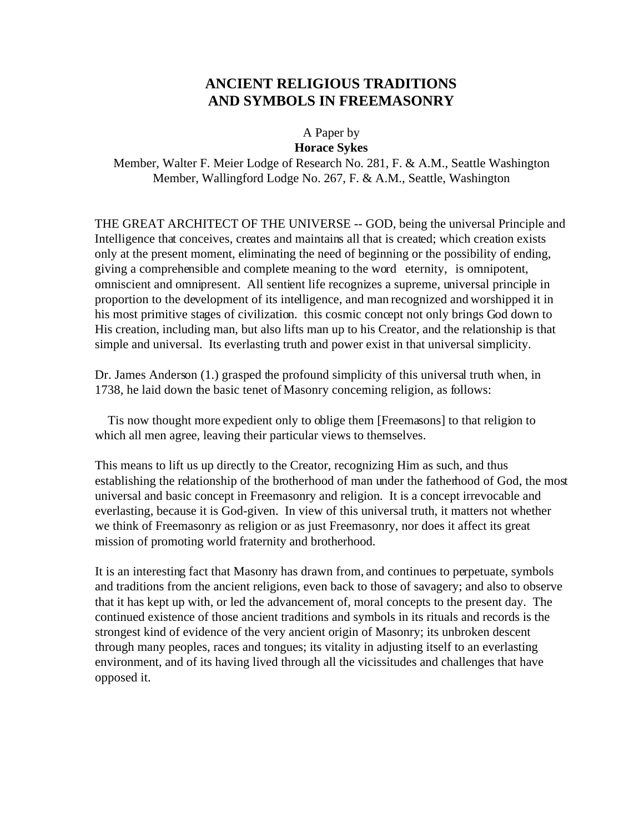# **ANCIENT RELIGIOUS TRADITIONS AND SYMBOLS IN FREEMASONRY**

#### A Paper by **Horace Sykes**

Member, Walter F. Meier Lodge of Research No. 281, F. & A.M., Seattle Washington Member, Wallingford Lodge No. 267, F. & A.M., Seattle, Washington

THE GREAT ARCHITECT OF THE UNIVERSE -- GOD, being the universal Principle and Intelligence that conceives, creates and maintains all that is created; which creation exists only at the present moment, eliminating the need of beginning or the possibility of ending, giving a comprehensible and complete meaning to the word eternity, is omnipotent, omniscient and omnipresent. All sentient life recognizes a supreme, universal principle in proportion to the development of its intelligence, and man recognized and worshipped it in his most primitive stages of civilization. this cosmic concept not only brings God down to His creation, including man, but also lifts man up to his Creator, and the relationship is that simple and universal. Its everlasting truth and power exist in that universal simplicity.

Dr. James Anderson (1.) grasped the profound simplicity of this universal truth when, in 1738, he laid down the basic tenet of Masonry concerning religion, as follows:

 Tis now thought more expedient only to oblige them [Freemasons] to that religion to which all men agree, leaving their particular views to themselves.

This means to lift us up directly to the Creator, recognizing Him as such, and thus establishing the relationship of the brotherhood of man under the fatherhood of God, the most universal and basic concept in Freemasonry and religion. It is a concept irrevocable and everlasting, because it is God-given. In view of this universal truth, it matters not whether we think of Freemasonry as religion or as just Freemasonry, nor does it affect its great mission of promoting world fraternity and brotherhood.

It is an interesting fact that Masonry has drawn from, and continues to perpetuate, symbols and traditions from the ancient religions, even back to those of savagery; and also to observe that it has kept up with, or led the advancement of, moral concepts to the present day. The continued existence of those ancient traditions and symbols in its rituals and records is the strongest kind of evidence of the very ancient origin of Masonry; its unbroken descent through many peoples, races and tongues; its vitality in adjusting itself to an everlasting environment, and of its having lived through all the vicissitudes and challenges that have opposed it.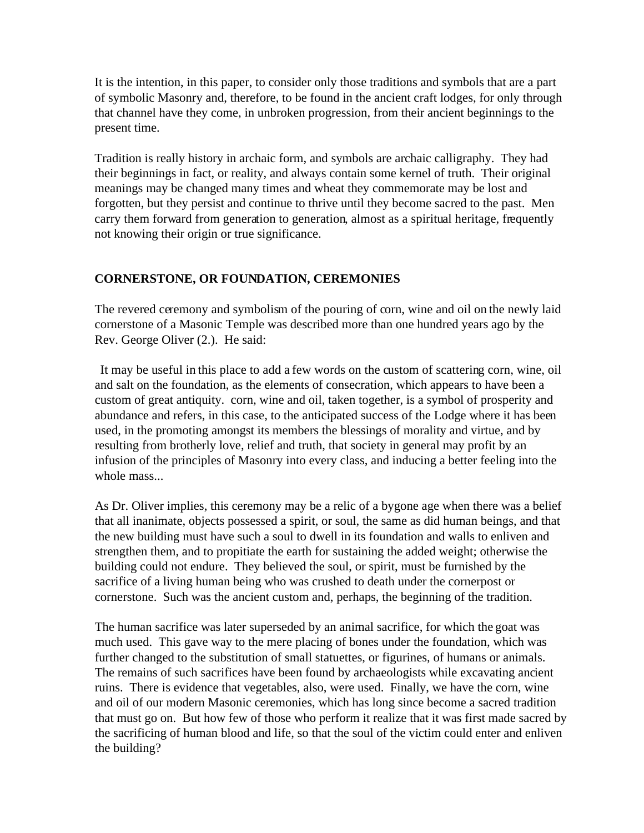It is the intention, in this paper, to consider only those traditions and symbols that are a part of symbolic Masonry and, therefore, to be found in the ancient craft lodges, for only through that channel have they come, in unbroken progression, from their ancient beginnings to the present time.

Tradition is really history in archaic form, and symbols are archaic calligraphy. They had their beginnings in fact, or reality, and always contain some kernel of truth. Their original meanings may be changed many times and wheat they commemorate may be lost and forgotten, but they persist and continue to thrive until they become sacred to the past. Men carry them forward from generation to generation, almost as a spiritual heritage, frequently not knowing their origin or true significance.

## **CORNERSTONE, OR FOUNDATION, CEREMONIES**

The revered ceremony and symbolism of the pouring of corn, wine and oil on the newly laid cornerstone of a Masonic Temple was described more than one hundred years ago by the Rev. George Oliver (2.). He said:

 It may be useful in this place to add a few words on the custom of scattering corn, wine, oil and salt on the foundation, as the elements of consecration, which appears to have been a custom of great antiquity. corn, wine and oil, taken together, is a symbol of prosperity and abundance and refers, in this case, to the anticipated success of the Lodge where it has been used, in the promoting amongst its members the blessings of morality and virtue, and by resulting from brotherly love, relief and truth, that society in general may profit by an infusion of the principles of Masonry into every class, and inducing a better feeling into the whole mass...

As Dr. Oliver implies, this ceremony may be a relic of a bygone age when there was a belief that all inanimate, objects possessed a spirit, or soul, the same as did human beings, and that the new building must have such a soul to dwell in its foundation and walls to enliven and strengthen them, and to propitiate the earth for sustaining the added weight; otherwise the building could not endure. They believed the soul, or spirit, must be furnished by the sacrifice of a living human being who was crushed to death under the cornerpost or cornerstone. Such was the ancient custom and, perhaps, the beginning of the tradition.

The human sacrifice was later superseded by an animal sacrifice, for which the goat was much used. This gave way to the mere placing of bones under the foundation, which was further changed to the substitution of small statuettes, or figurines, of humans or animals. The remains of such sacrifices have been found by archaeologists while excavating ancient ruins. There is evidence that vegetables, also, were used. Finally, we have the corn, wine and oil of our modern Masonic ceremonies, which has long since become a sacred tradition that must go on. But how few of those who perform it realize that it was first made sacred by the sacrificing of human blood and life, so that the soul of the victim could enter and enliven the building?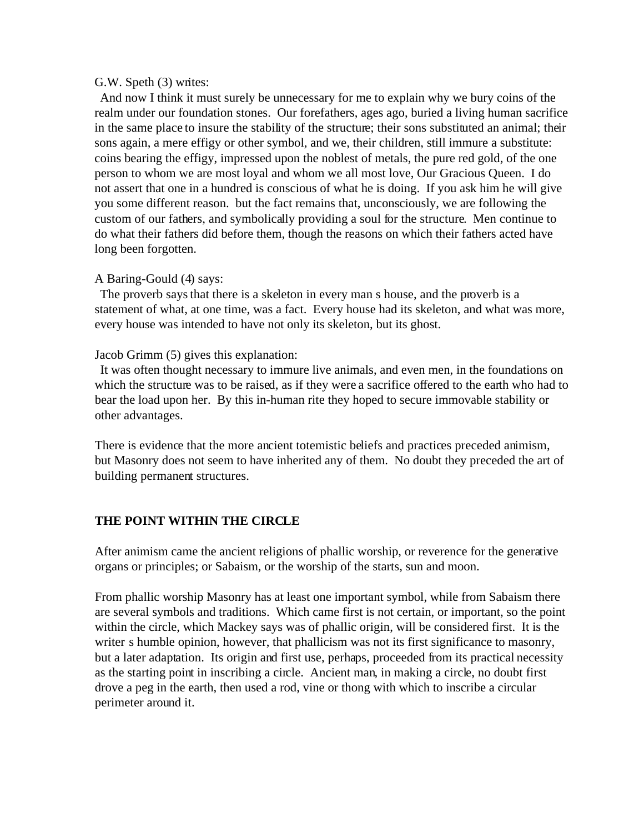#### G.W. Speth (3) writes:

 And now I think it must surely be unnecessary for me to explain why we bury coins of the realm under our foundation stones. Our forefathers, ages ago, buried a living human sacrifice in the same place to insure the stability of the structure; their sons substituted an animal; their sons again, a mere effigy or other symbol, and we, their children, still immure a substitute: coins bearing the effigy, impressed upon the noblest of metals, the pure red gold, of the one person to whom we are most loyal and whom we all most love, Our Gracious Queen. I do not assert that one in a hundred is conscious of what he is doing. If you ask him he will give you some different reason. but the fact remains that, unconsciously, we are following the custom of our fathers, and symbolically providing a soul for the structure. Men continue to do what their fathers did before them, though the reasons on which their fathers acted have long been forgotten.

#### A Baring-Gould (4) says:

 The proverb says that there is a skeleton in every man s house, and the proverb is a statement of what, at one time, was a fact. Every house had its skeleton, and what was more, every house was intended to have not only its skeleton, but its ghost.

#### Jacob Grimm (5) gives this explanation:

 It was often thought necessary to immure live animals, and even men, in the foundations on which the structure was to be raised, as if they were a sacrifice offered to the earth who had to bear the load upon her. By this in-human rite they hoped to secure immovable stability or other advantages.

There is evidence that the more ancient totemistic beliefs and practices preceded animism, but Masonry does not seem to have inherited any of them. No doubt they preceded the art of building permanent structures.

### **THE POINT WITHIN THE CIRCLE**

After animism came the ancient religions of phallic worship, or reverence for the generative organs or principles; or Sabaism, or the worship of the starts, sun and moon.

From phallic worship Masonry has at least one important symbol, while from Sabaism there are several symbols and traditions. Which came first is not certain, or important, so the point within the circle, which Mackey says was of phallic origin, will be considered first. It is the writer s humble opinion, however, that phallicism was not its first significance to masonry, but a later adaptation. Its origin and first use, perhaps, proceeded from its practical necessity as the starting point in inscribing a circle. Ancient man, in making a circle, no doubt first drove a peg in the earth, then used a rod, vine or thong with which to inscribe a circular perimeter around it.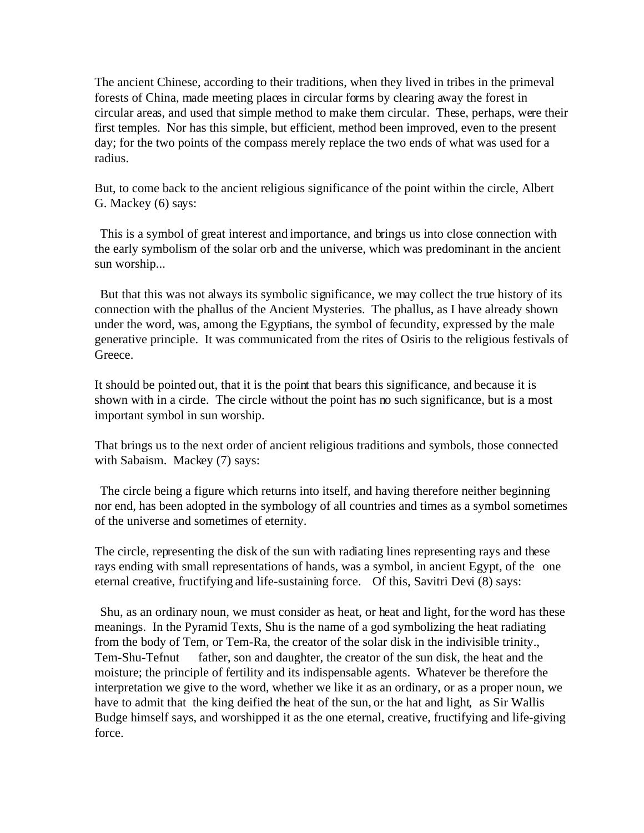The ancient Chinese, according to their traditions, when they lived in tribes in the primeval forests of China, made meeting places in circular forms by clearing away the forest in circular areas, and used that simple method to make them circular. These, perhaps, were their first temples. Nor has this simple, but efficient, method been improved, even to the present day; for the two points of the compass merely replace the two ends of what was used for a radius.

But, to come back to the ancient religious significance of the point within the circle, Albert G. Mackey (6) says:

 This is a symbol of great interest and importance, and brings us into close connection with the early symbolism of the solar orb and the universe, which was predominant in the ancient sun worship...

 But that this was not always its symbolic significance, we may collect the true history of its connection with the phallus of the Ancient Mysteries. The phallus, as I have already shown under the word, was, among the Egyptians, the symbol of fecundity, expressed by the male generative principle. It was communicated from the rites of Osiris to the religious festivals of Greece.

It should be pointed out, that it is the point that bears this significance, and because it is shown with in a circle. The circle without the point has no such significance, but is a most important symbol in sun worship.

That brings us to the next order of ancient religious traditions and symbols, those connected with Sabaism. Mackey (7) says:

 The circle being a figure which returns into itself, and having therefore neither beginning nor end, has been adopted in the symbology of all countries and times as a symbol sometimes of the universe and sometimes of eternity.

The circle, representing the disk of the sun with radiating lines representing rays and these rays ending with small representations of hands, was a symbol, in ancient Egypt, of the one eternal creative, fructifying and life-sustaining force. Of this, Savitri Devi (8) says:

 Shu, as an ordinary noun, we must consider as heat, or heat and light, for the word has these meanings. In the Pyramid Texts, Shu is the name of a god symbolizing the heat radiating from the body of Tem, or Tem-Ra, the creator of the solar disk in the indivisible trinity., Tem-Shu-Tefnut father, son and daughter, the creator of the sun disk, the heat and the moisture; the principle of fertility and its indispensable agents. Whatever be therefore the interpretation we give to the word, whether we like it as an ordinary, or as a proper noun, we have to admit that the king deified the heat of the sun, or the hat and light, as Sir Wallis Budge himself says, and worshipped it as the one eternal, creative, fructifying and life-giving force.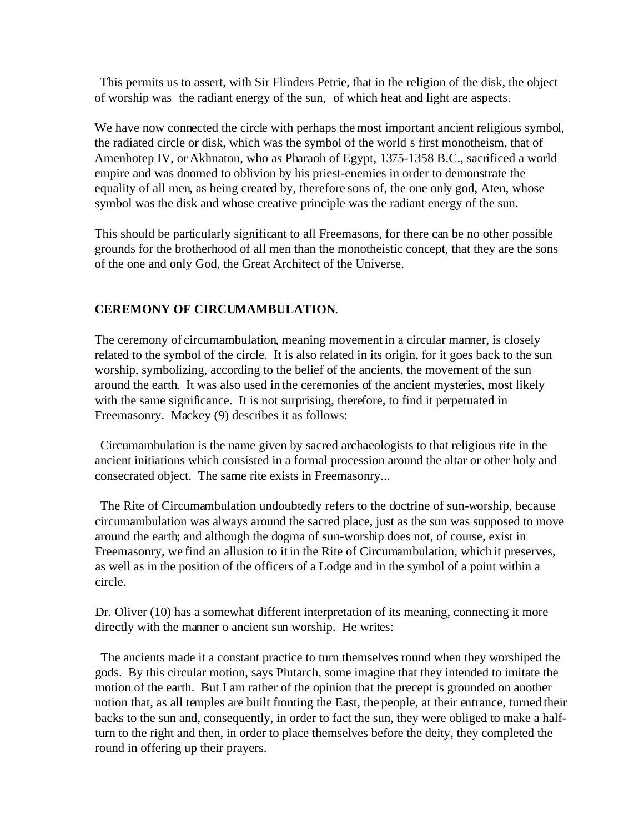This permits us to assert, with Sir Flinders Petrie, that in the religion of the disk, the object of worship was the radiant energy of the sun, of which heat and light are aspects.

We have now connected the circle with perhaps the most important ancient religious symbol, the radiated circle or disk, which was the symbol of the world s first monotheism, that of Amenhotep IV, or Akhnaton, who as Pharaoh of Egypt, 1375-1358 B.C., sacrificed a world empire and was doomed to oblivion by his priest-enemies in order to demonstrate the equality of all men, as being created by, therefore sons of, the one only god, Aten, whose symbol was the disk and whose creative principle was the radiant energy of the sun.

This should be particularly significant to all Freemasons, for there can be no other possible grounds for the brotherhood of all men than the monotheistic concept, that they are the sons of the one and only God, the Great Architect of the Universe.

## **CEREMONY OF CIRCUMAMBULATION**.

The ceremony of circumambulation, meaning movement in a circular manner, is closely related to the symbol of the circle. It is also related in its origin, for it goes back to the sun worship, symbolizing, according to the belief of the ancients, the movement of the sun around the earth. It was also used in the ceremonies of the ancient mysteries, most likely with the same significance. It is not surprising, therefore, to find it perpetuated in Freemasonry. Mackey (9) describes it as follows:

 Circumambulation is the name given by sacred archaeologists to that religious rite in the ancient initiations which consisted in a formal procession around the altar or other holy and consecrated object. The same rite exists in Freemasonry...

 The Rite of Circumambulation undoubtedly refers to the doctrine of sun-worship, because circumambulation was always around the sacred place, just as the sun was supposed to move around the earth; and although the dogma of sun-worship does not, of course, exist in Freemasonry, we find an allusion to it in the Rite of Circumambulation, which it preserves, as well as in the position of the officers of a Lodge and in the symbol of a point within a circle.

Dr. Oliver (10) has a somewhat different interpretation of its meaning, connecting it more directly with the manner o ancient sun worship. He writes:

 The ancients made it a constant practice to turn themselves round when they worshiped the gods. By this circular motion, says Plutarch, some imagine that they intended to imitate the motion of the earth. But I am rather of the opinion that the precept is grounded on another notion that, as all temples are built fronting the East, the people, at their entrance, turned their backs to the sun and, consequently, in order to fact the sun, they were obliged to make a halfturn to the right and then, in order to place themselves before the deity, they completed the round in offering up their prayers.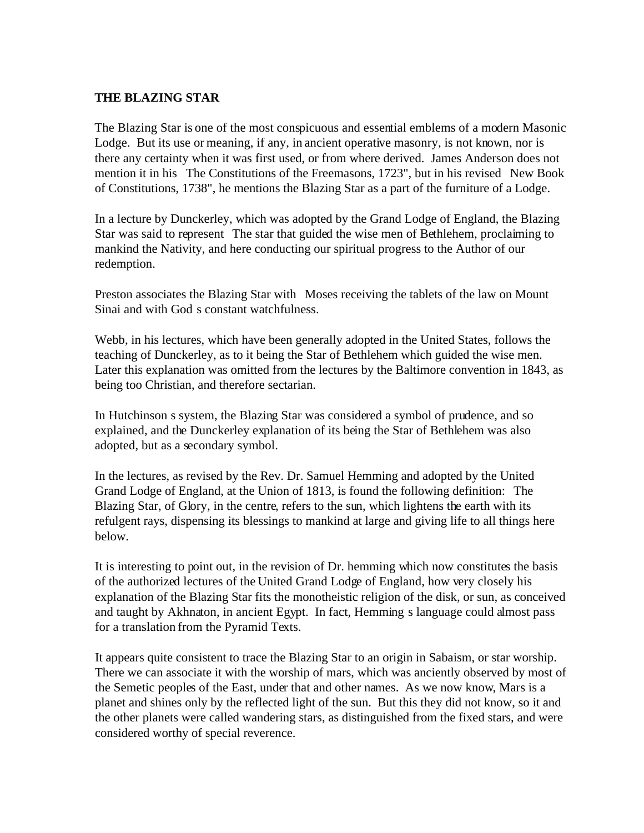### **THE BLAZING STAR**

The Blazing Star is one of the most conspicuous and essential emblems of a modern Masonic Lodge. But its use or meaning, if any, in ancient operative masonry, is not known, nor is there any certainty when it was first used, or from where derived. James Anderson does not mention it in his The Constitutions of the Freemasons, 1723", but in his revised New Book of Constitutions, 1738", he mentions the Blazing Star as a part of the furniture of a Lodge.

In a lecture by Dunckerley, which was adopted by the Grand Lodge of England, the Blazing Star was said to represent The star that guided the wise men of Bethlehem, proclaiming to mankind the Nativity, and here conducting our spiritual progress to the Author of our redemption.

Preston associates the Blazing Star with Moses receiving the tablets of the law on Mount Sinai and with God s constant watchfulness.

Webb, in his lectures, which have been generally adopted in the United States, follows the teaching of Dunckerley, as to it being the Star of Bethlehem which guided the wise men. Later this explanation was omitted from the lectures by the Baltimore convention in 1843, as being too Christian, and therefore sectarian.

In Hutchinson s system, the Blazing Star was considered a symbol of prudence, and so explained, and the Dunckerley explanation of its being the Star of Bethlehem was also adopted, but as a secondary symbol.

In the lectures, as revised by the Rev. Dr. Samuel Hemming and adopted by the United Grand Lodge of England, at the Union of 1813, is found the following definition: The Blazing Star, of Glory, in the centre, refers to the sun, which lightens the earth with its refulgent rays, dispensing its blessings to mankind at large and giving life to all things here below.

It is interesting to point out, in the revision of Dr. hemming which now constitutes the basis of the authorized lectures of the United Grand Lodge of England, how very closely his explanation of the Blazing Star fits the monotheistic religion of the disk, or sun, as conceived and taught by Akhnaton, in ancient Egypt. In fact, Hemming s language could almost pass for a translation from the Pyramid Texts.

It appears quite consistent to trace the Blazing Star to an origin in Sabaism, or star worship. There we can associate it with the worship of mars, which was anciently observed by most of the Semetic peoples of the East, under that and other names. As we now know, Mars is a planet and shines only by the reflected light of the sun. But this they did not know, so it and the other planets were called wandering stars, as distinguished from the fixed stars, and were considered worthy of special reverence.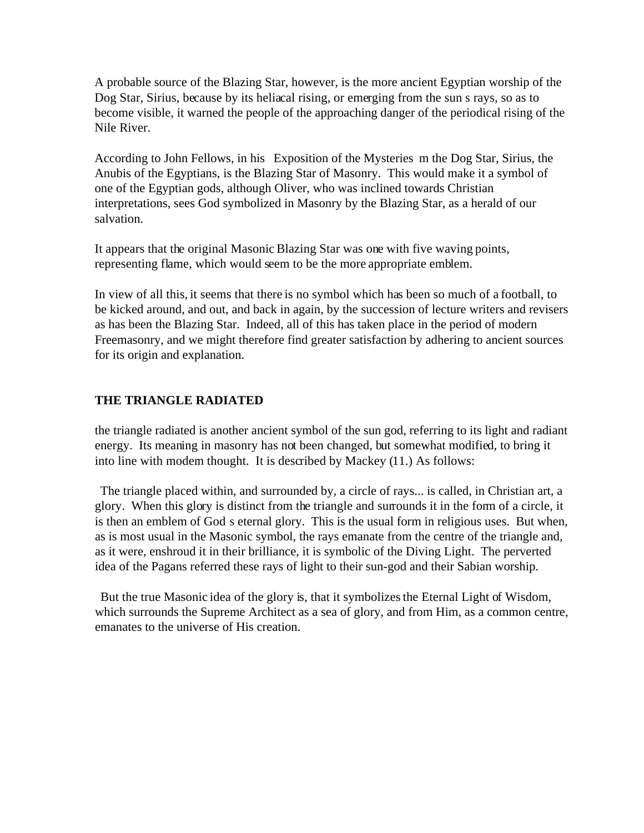A probable source of the Blazing Star, however, is the more ancient Egyptian worship of the Dog Star, Sirius, because by its heliacal rising, or emerging from the sun s rays, so as to become visible, it warned the people of the approaching danger of the periodical rising of the Nile River.

According to John Fellows, in his Exposition of the Mysteries m the Dog Star, Sirius, the Anubis of the Egyptians, is the Blazing Star of Masonry. This would make it a symbol of one of the Egyptian gods, although Oliver, who was inclined towards Christian interpretations, sees God symbolized in Masonry by the Blazing Star, as a herald of our salvation.

It appears that the original Masonic Blazing Star was one with five waving points, representing flame, which would seem to be the more appropriate emblem.

In view of all this, it seems that there is no symbol which has been so much of a football, to be kicked around, and out, and back in again, by the succession of lecture writers and revisers as has been the Blazing Star. Indeed, all of this has taken place in the period of modern Freemasonry, and we might therefore find greater satisfaction by adhering to ancient sources for its origin and explanation.

## **THE TRIANGLE RADIATED**

the triangle radiated is another ancient symbol of the sun god, referring to its light and radiant energy. Its meaning in masonry has not been changed, but somewhat modified, to bring it into line with modern thought. It is described by Mackey (11.) As follows:

 The triangle placed within, and surrounded by, a circle of rays... is called, in Christian art, a glory. When this glory is distinct from the triangle and surrounds it in the form of a circle, it is then an emblem of God s eternal glory. This is the usual form in religious uses. But when, as is most usual in the Masonic symbol, the rays emanate from the centre of the triangle and, as it were, enshroud it in their brilliance, it is symbolic of the Diving Light. The perverted idea of the Pagans referred these rays of light to their sun-god and their Sabian worship.

 But the true Masonic idea of the glory is, that it symbolizes the Eternal Light of Wisdom, which surrounds the Supreme Architect as a sea of glory, and from Him, as a common centre, emanates to the universe of His creation.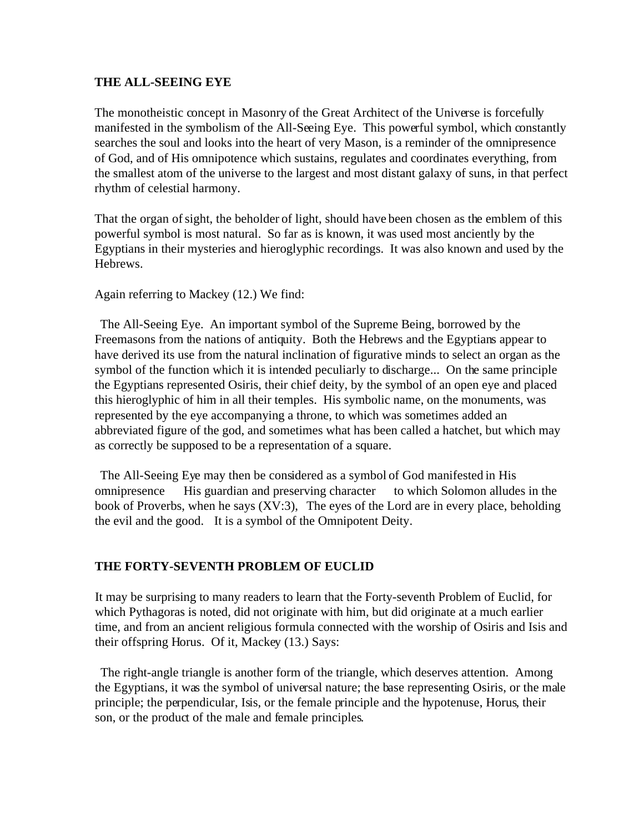#### **THE ALL-SEEING EYE**

The monotheistic concept in Masonry of the Great Architect of the Universe is forcefully manifested in the symbolism of the All-Seeing Eye. This powerful symbol, which constantly searches the soul and looks into the heart of very Mason, is a reminder of the omnipresence of God, and of His omnipotence which sustains, regulates and coordinates everything, from the smallest atom of the universe to the largest and most distant galaxy of suns, in that perfect rhythm of celestial harmony.

That the organ of sight, the beholder of light, should have been chosen as the emblem of this powerful symbol is most natural. So far as is known, it was used most anciently by the Egyptians in their mysteries and hieroglyphic recordings. It was also known and used by the Hebrews.

Again referring to Mackey (12.) We find:

 The All-Seeing Eye. An important symbol of the Supreme Being, borrowed by the Freemasons from the nations of antiquity. Both the Hebrews and the Egyptians appear to have derived its use from the natural inclination of figurative minds to select an organ as the symbol of the function which it is intended peculiarly to discharge... On the same principle the Egyptians represented Osiris, their chief deity, by the symbol of an open eye and placed this hieroglyphic of him in all their temples. His symbolic name, on the monuments, was represented by the eye accompanying a throne, to which was sometimes added an abbreviated figure of the god, and sometimes what has been called a hatchet, but which may as correctly be supposed to be a representation of a square.

 The All-Seeing Eye may then be considered as a symbol of God manifested in His omnipresence His guardian and preserving character to which Solomon alludes in the book of Proverbs, when he says (XV:3), The eyes of the Lord are in every place, beholding the evil and the good. It is a symbol of the Omnipotent Deity.

### **THE FORTY-SEVENTH PROBLEM OF EUCLID**

It may be surprising to many readers to learn that the Forty-seventh Problem of Euclid, for which Pythagoras is noted, did not originate with him, but did originate at a much earlier time, and from an ancient religious formula connected with the worship of Osiris and Isis and their offspring Horus. Of it, Mackey (13.) Says:

 The right-angle triangle is another form of the triangle, which deserves attention. Among the Egyptians, it was the symbol of universal nature; the base representing Osiris, or the male principle; the perpendicular, Isis, or the female principle and the hypotenuse, Horus, their son, or the product of the male and female principles.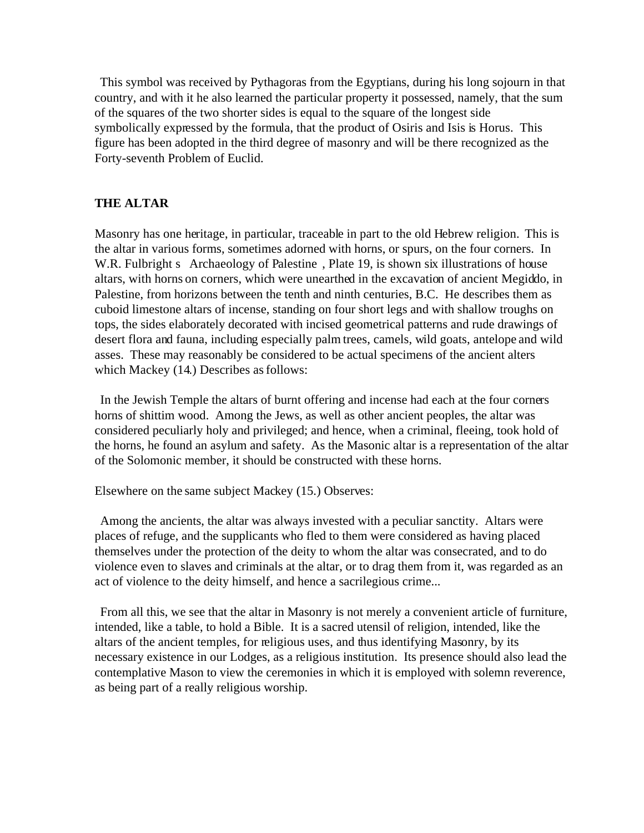This symbol was received by Pythagoras from the Egyptians, during his long sojourn in that country, and with it he also learned the particular property it possessed, namely, that the sum of the squares of the two shorter sides is equal to the square of the longest side symbolically expressed by the formula, that the product of Osiris and Isis is Horus. This figure has been adopted in the third degree of masonry and will be there recognized as the Forty-seventh Problem of Euclid.

### **THE ALTAR**

Masonry has one heritage, in particular, traceable in part to the old Hebrew religion. This is the altar in various forms, sometimes adorned with horns, or spurs, on the four corners. In W.R. Fulbright s Archaeology of Palestine, Plate 19, is shown six illustrations of house altars, with horns on corners, which were unearthed in the excavation of ancient Megiddo, in Palestine, from horizons between the tenth and ninth centuries, B.C. He describes them as cuboid limestone altars of incense, standing on four short legs and with shallow troughs on tops, the sides elaborately decorated with incised geometrical patterns and rude drawings of desert flora and fauna, including especially palm trees, camels, wild goats, antelope and wild asses. These may reasonably be considered to be actual specimens of the ancient alters which Mackey (14.) Describes as follows:

 In the Jewish Temple the altars of burnt offering and incense had each at the four corners horns of shittim wood. Among the Jews, as well as other ancient peoples, the altar was considered peculiarly holy and privileged; and hence, when a criminal, fleeing, took hold of the horns, he found an asylum and safety. As the Masonic altar is a representation of the altar of the Solomonic member, it should be constructed with these horns.

Elsewhere on the same subject Mackey (15.) Observes:

 Among the ancients, the altar was always invested with a peculiar sanctity. Altars were places of refuge, and the supplicants who fled to them were considered as having placed themselves under the protection of the deity to whom the altar was consecrated, and to do violence even to slaves and criminals at the altar, or to drag them from it, was regarded as an act of violence to the deity himself, and hence a sacrilegious crime...

 From all this, we see that the altar in Masonry is not merely a convenient article of furniture, intended, like a table, to hold a Bible. It is a sacred utensil of religion, intended, like the altars of the ancient temples, for religious uses, and thus identifying Masonry, by its necessary existence in our Lodges, as a religious institution. Its presence should also lead the contemplative Mason to view the ceremonies in which it is employed with solemn reverence, as being part of a really religious worship.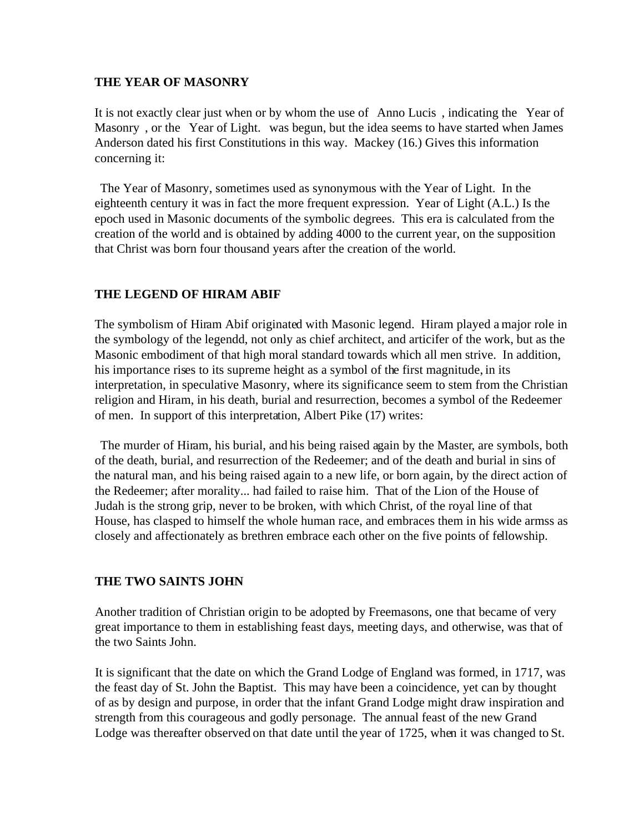#### **THE YEAR OF MASONRY**

It is not exactly clear just when or by whom the use of Anno Lucis , indicating the Year of Masonry , or the Year of Light. was begun, but the idea seems to have started when James Anderson dated his first Constitutions in this way. Mackey (16.) Gives this information concerning it:

 The Year of Masonry, sometimes used as synonymous with the Year of Light. In the eighteenth century it was in fact the more frequent expression. Year of Light (A.L.) Is the epoch used in Masonic documents of the symbolic degrees. This era is calculated from the creation of the world and is obtained by adding 4000 to the current year, on the supposition that Christ was born four thousand years after the creation of the world.

### **THE LEGEND OF HIRAM ABIF**

The symbolism of Hiram Abif originated with Masonic legend. Hiram played a major role in the symbology of the legendd, not only as chief architect, and articifer of the work, but as the Masonic embodiment of that high moral standard towards which all men strive. In addition, his importance rises to its supreme height as a symbol of the first magnitude, in its interpretation, in speculative Masonry, where its significance seem to stem from the Christian religion and Hiram, in his death, burial and resurrection, becomes a symbol of the Redeemer of men. In support of this interpretation, Albert Pike (17) writes:

 The murder of Hiram, his burial, and his being raised again by the Master, are symbols, both of the death, burial, and resurrection of the Redeemer; and of the death and burial in sins of the natural man, and his being raised again to a new life, or born again, by the direct action of the Redeemer; after morality... had failed to raise him. That of the Lion of the House of Judah is the strong grip, never to be broken, with which Christ, of the royal line of that House, has clasped to himself the whole human race, and embraces them in his wide armss as closely and affectionately as brethren embrace each other on the five points of fellowship.

### **THE TWO SAINTS JOHN**

Another tradition of Christian origin to be adopted by Freemasons, one that became of very great importance to them in establishing feast days, meeting days, and otherwise, was that of the two Saints John.

It is significant that the date on which the Grand Lodge of England was formed, in 1717, was the feast day of St. John the Baptist. This may have been a coincidence, yet can by thought of as by design and purpose, in order that the infant Grand Lodge might draw inspiration and strength from this courageous and godly personage. The annual feast of the new Grand Lodge was thereafter observed on that date until the year of 1725, when it was changed to St.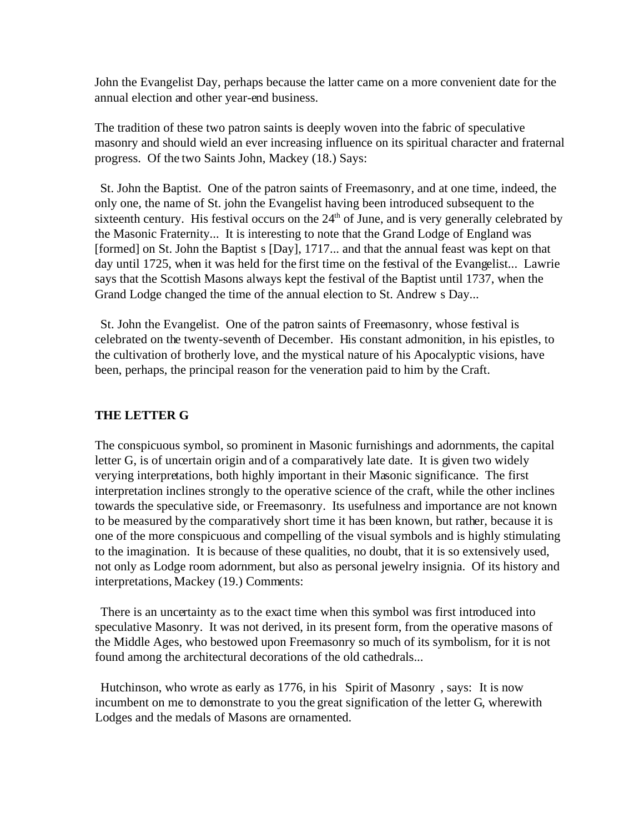John the Evangelist Day, perhaps because the latter came on a more convenient date for the annual election and other year-end business.

The tradition of these two patron saints is deeply woven into the fabric of speculative masonry and should wield an ever increasing influence on its spiritual character and fraternal progress. Of the two Saints John, Mackey (18.) Says:

 St. John the Baptist. One of the patron saints of Freemasonry, and at one time, indeed, the only one, the name of St. john the Evangelist having been introduced subsequent to the sixteenth century. His festival occurs on the  $24<sup>th</sup>$  of June, and is very generally celebrated by the Masonic Fraternity... It is interesting to note that the Grand Lodge of England was [formed] on St. John the Baptist s [Day], 1717... and that the annual feast was kept on that day until 1725, when it was held for the first time on the festival of the Evangelist... Lawrie says that the Scottish Masons always kept the festival of the Baptist until 1737, when the Grand Lodge changed the time of the annual election to St. Andrew s Day...

 St. John the Evangelist. One of the patron saints of Freemasonry, whose festival is celebrated on the twenty-seventh of December. His constant admonition, in his epistles, to the cultivation of brotherly love, and the mystical nature of his Apocalyptic visions, have been, perhaps, the principal reason for the veneration paid to him by the Craft.

#### **THE LETTER G**

The conspicuous symbol, so prominent in Masonic furnishings and adornments, the capital letter G, is of uncertain origin and of a comparatively late date. It is given two widely verying interpretations, both highly important in their Masonic significance. The first interpretation inclines strongly to the operative science of the craft, while the other inclines towards the speculative side, or Freemasonry. Its usefulness and importance are not known to be measured by the comparatively short time it has been known, but rather, because it is one of the more conspicuous and compelling of the visual symbols and is highly stimulating to the imagination. It is because of these qualities, no doubt, that it is so extensively used, not only as Lodge room adornment, but also as personal jewelry insignia. Of its history and interpretations, Mackey (19.) Comments:

 There is an uncertainty as to the exact time when this symbol was first introduced into speculative Masonry. It was not derived, in its present form, from the operative masons of the Middle Ages, who bestowed upon Freemasonry so much of its symbolism, for it is not found among the architectural decorations of the old cathedrals...

Hutchinson, who wrote as early as 1776, in his Spirit of Masonry, says: It is now incumbent on me to demonstrate to you the great signification of the letter G, wherewith Lodges and the medals of Masons are ornamented.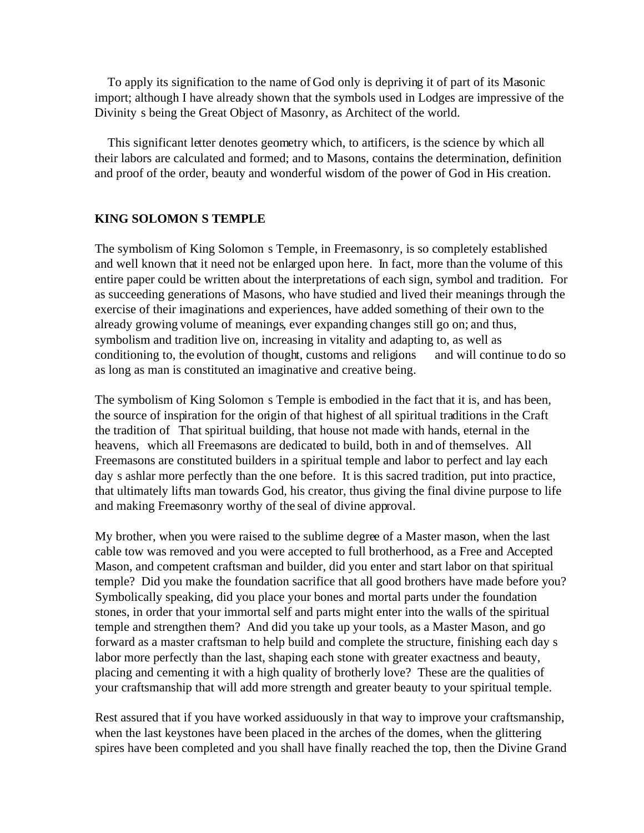To apply its signification to the name of God only is depriving it of part of its Masonic import; although I have already shown that the symbols used in Lodges are impressive of the Divinity s being the Great Object of Masonry, as Architect of the world.

 This significant letter denotes geometry which, to artificers, is the science by which all their labors are calculated and formed; and to Masons, contains the determination, definition and proof of the order, beauty and wonderful wisdom of the power of God in His creation.

### **KING SOLOMON S TEMPLE**

The symbolism of King Solomon s Temple, in Freemasonry, is so completely established and well known that it need not be enlarged upon here. In fact, more than the volume of this entire paper could be written about the interpretations of each sign, symbol and tradition. For as succeeding generations of Masons, who have studied and lived their meanings through the exercise of their imaginations and experiences, have added something of their own to the already growing volume of meanings, ever expanding changes still go on; and thus, symbolism and tradition live on, increasing in vitality and adapting to, as well as conditioning to, the evolution of thought, customs and religions and will continue to do so as long as man is constituted an imaginative and creative being.

The symbolism of King Solomon s Temple is embodied in the fact that it is, and has been, the source of inspiration for the origin of that highest of all spiritual traditions in the Craft the tradition of That spiritual building, that house not made with hands, eternal in the heavens, which all Freemasons are dedicated to build, both in and of themselves. All Freemasons are constituted builders in a spiritual temple and labor to perfect and lay each day s ashlar more perfectly than the one before. It is this sacred tradition, put into practice, that ultimately lifts man towards God, his creator, thus giving the final divine purpose to life and making Freemasonry worthy of the seal of divine approval.

My brother, when you were raised to the sublime degree of a Master mason, when the last cable tow was removed and you were accepted to full brotherhood, as a Free and Accepted Mason, and competent craftsman and builder, did you enter and start labor on that spiritual temple? Did you make the foundation sacrifice that all good brothers have made before you? Symbolically speaking, did you place your bones and mortal parts under the foundation stones, in order that your immortal self and parts might enter into the walls of the spiritual temple and strengthen them? And did you take up your tools, as a Master Mason, and go forward as a master craftsman to help build and complete the structure, finishing each day s labor more perfectly than the last, shaping each stone with greater exactness and beauty, placing and cementing it with a high quality of brotherly love? These are the qualities of your craftsmanship that will add more strength and greater beauty to your spiritual temple.

Rest assured that if you have worked assiduously in that way to improve your craftsmanship, when the last keystones have been placed in the arches of the domes, when the glittering spires have been completed and you shall have finally reached the top, then the Divine Grand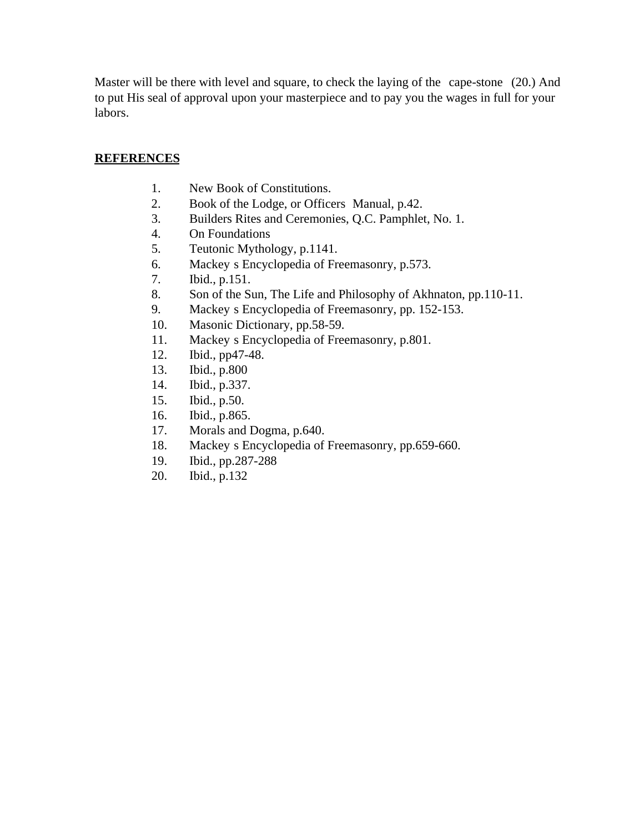Master will be there with level and square, to check the laying of the cape-stone (20.) And to put His seal of approval upon your masterpiece and to pay you the wages in full for your labors.

### **REFERENCES**

- 1. New Book of Constitutions.
- 2. Book of the Lodge, or Officers Manual, p.42.
- 3. Builders Rites and Ceremonies, Q.C. Pamphlet, No. 1.
- 4. On Foundations
- 5. Teutonic Mythology, p.1141.
- 6. Mackey s Encyclopedia of Freemasonry, p.573.
- 7. Ibid., p.151.
- 8. Son of the Sun, The Life and Philosophy of Akhnaton, pp.110-11.
- 9. Mackey s Encyclopedia of Freemasonry, pp. 152-153.
- 10. Masonic Dictionary, pp.58-59.
- 11. Mackey s Encyclopedia of Freemasonry, p.801.
- 12. Ibid., pp47-48.
- 13. Ibid., p.800
- 14. Ibid., p.337.
- 15. Ibid., p.50.
- 16. Ibid., p.865.
- 17. Morals and Dogma, p.640.
- 18. Mackey s Encyclopedia of Freemasonry, pp.659-660.
- 19. Ibid., pp.287-288
- 20. Ibid., p.132